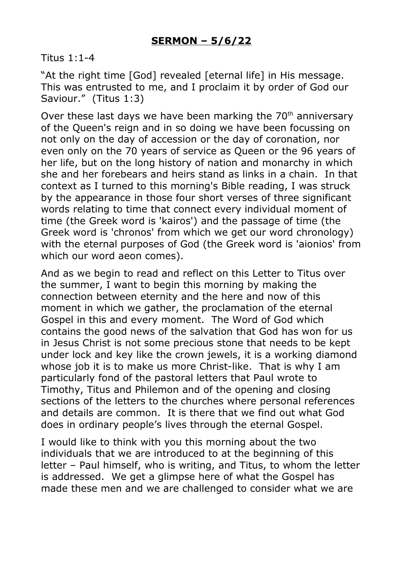## Titus 1:1-4

"At the right time [God] revealed [eternal life] in His message. This was entrusted to me, and I proclaim it by order of God our Saviour." (Titus 1:3)

Over these last days we have been marking the  $70<sup>th</sup>$  anniversary of the Queen's reign and in so doing we have been focussing on not only on the day of accession or the day of coronation, nor even only on the 70 years of service as Queen or the 96 years of her life, but on the long history of nation and monarchy in which she and her forebears and heirs stand as links in a chain. In that context as I turned to this morning's Bible reading, I was struck by the appearance in those four short verses of three significant words relating to time that connect every individual moment of time (the Greek word is 'kairos') and the passage of time (the Greek word is 'chronos' from which we get our word chronology) with the eternal purposes of God (the Greek word is 'aionios' from which our word aeon comes).

And as we begin to read and reflect on this Letter to Titus over the summer, I want to begin this morning by making the connection between eternity and the here and now of this moment in which we gather, the proclamation of the eternal Gospel in this and every moment. The Word of God which contains the good news of the salvation that God has won for us in Jesus Christ is not some precious stone that needs to be kept under lock and key like the crown jewels, it is a working diamond whose job it is to make us more Christ-like. That is why I am particularly fond of the pastoral letters that Paul wrote to Timothy, Titus and Philemon and of the opening and closing sections of the letters to the churches where personal references and details are common. It is there that we find out what God does in ordinary people's lives through the eternal Gospel.

I would like to think with you this morning about the two individuals that we are introduced to at the beginning of this letter – Paul himself, who is writing, and Titus, to whom the letter is addressed. We get a glimpse here of what the Gospel has made these men and we are challenged to consider what we are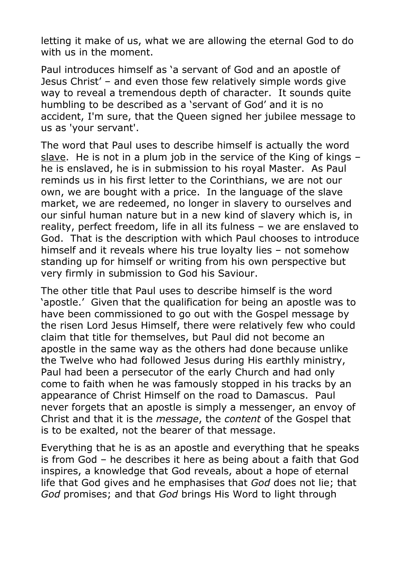letting it make of us, what we are allowing the eternal God to do with us in the moment.

Paul introduces himself as 'a servant of God and an apostle of Jesus Christ' – and even those few relatively simple words give way to reveal a tremendous depth of character. It sounds quite humbling to be described as a 'servant of God' and it is no accident, I'm sure, that the Queen signed her jubilee message to us as 'your servant'.

The word that Paul uses to describe himself is actually the word slave. He is not in a plum job in the service of the King of kings – he is enslaved, he is in submission to his royal Master. As Paul reminds us in his first letter to the Corinthians, we are not our own, we are bought with a price. In the language of the slave market, we are redeemed, no longer in slavery to ourselves and our sinful human nature but in a new kind of slavery which is, in reality, perfect freedom, life in all its fulness – we are enslaved to God. That is the description with which Paul chooses to introduce himself and it reveals where his true loyalty lies – not somehow standing up for himself or writing from his own perspective but very firmly in submission to God his Saviour.

The other title that Paul uses to describe himself is the word 'apostle.' Given that the qualification for being an apostle was to have been commissioned to go out with the Gospel message by the risen Lord Jesus Himself, there were relatively few who could claim that title for themselves, but Paul did not become an apostle in the same way as the others had done because unlike the Twelve who had followed Jesus during His earthly ministry, Paul had been a persecutor of the early Church and had only come to faith when he was famously stopped in his tracks by an appearance of Christ Himself on the road to Damascus. Paul never forgets that an apostle is simply a messenger, an envoy of Christ and that it is the *message*, the *content* of the Gospel that is to be exalted, not the bearer of that message.

Everything that he is as an apostle and everything that he speaks is from God – he describes it here as being about a faith that God inspires, a knowledge that God reveals, about a hope of eternal life that God gives and he emphasises that *God* does not lie; that *God* promises; and that *God* brings His Word to light through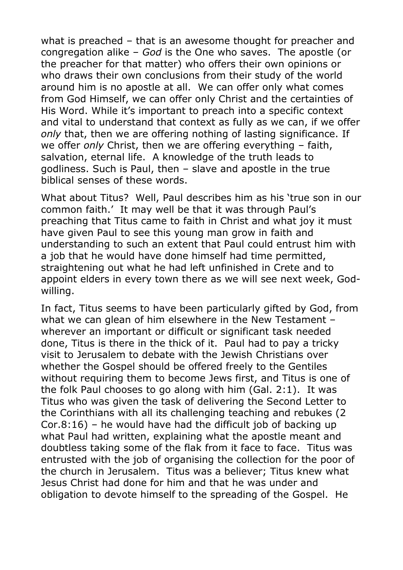what is preached – that is an awesome thought for preacher and congregation alike – *God* is the One who saves. The apostle (or the preacher for that matter) who offers their own opinions or who draws their own conclusions from their study of the world around him is no apostle at all. We can offer only what comes from God Himself, we can offer only Christ and the certainties of His Word. While it's important to preach into a specific context and vital to understand that context as fully as we can, if we offer *only* that, then we are offering nothing of lasting significance. If we offer *only* Christ, then we are offering everything – faith, salvation, eternal life. A knowledge of the truth leads to godliness. Such is Paul, then – slave and apostle in the true biblical senses of these words.

What about Titus? Well, Paul describes him as his 'true son in our common faith.' It may well be that it was through Paul's preaching that Titus came to faith in Christ and what joy it must have given Paul to see this young man grow in faith and understanding to such an extent that Paul could entrust him with a job that he would have done himself had time permitted, straightening out what he had left unfinished in Crete and to appoint elders in every town there as we will see next week, Godwilling.

In fact, Titus seems to have been particularly gifted by God, from what we can glean of him elsewhere in the New Testament – wherever an important or difficult or significant task needed done, Titus is there in the thick of it. Paul had to pay a tricky visit to Jerusalem to debate with the Jewish Christians over whether the Gospel should be offered freely to the Gentiles without requiring them to become Jews first, and Titus is one of the folk Paul chooses to go along with him (Gal. 2:1). It was Titus who was given the task of delivering the Second Letter to the Corinthians with all its challenging teaching and rebukes (2 Cor.8:16) – he would have had the difficult job of backing up what Paul had written, explaining what the apostle meant and doubtless taking some of the flak from it face to face. Titus was entrusted with the job of organising the collection for the poor of the church in Jerusalem. Titus was a believer; Titus knew what Jesus Christ had done for him and that he was under and obligation to devote himself to the spreading of the Gospel. He